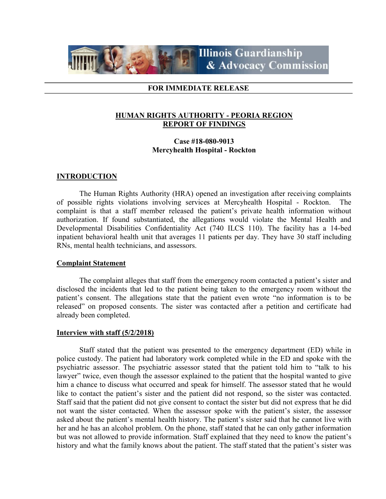

### FOR IMMEDIATE RELEASE

# HUMAN RIGHTS AUTHORITY - PEORIA REGION REPORT OF FINDINGS

### Case #18-080-9013 Mercyhealth Hospital - Rockton

#### INTRODUCTION

 The Human Rights Authority (HRA) opened an investigation after receiving complaints of possible rights violations involving services at Mercyhealth Hospital - Rockton. The complaint is that a staff member released the patient's private health information without authorization. If found substantiated, the allegations would violate the Mental Health and Developmental Disabilities Confidentiality Act (740 ILCS 110). The facility has a 14-bed inpatient behavioral health unit that averages 11 patients per day. They have 30 staff including RNs, mental health technicians, and assessors.

### Complaint Statement

The complaint alleges that staff from the emergency room contacted a patient's sister and disclosed the incidents that led to the patient being taken to the emergency room without the patient's consent. The allegations state that the patient even wrote "no information is to be released" on proposed consents. The sister was contacted after a petition and certificate had already been completed.

#### Interview with staff (5/2/2018)

 Staff stated that the patient was presented to the emergency department (ED) while in police custody. The patient had laboratory work completed while in the ED and spoke with the psychiatric assessor. The psychiatric assessor stated that the patient told him to "talk to his lawyer" twice, even though the assessor explained to the patient that the hospital wanted to give him a chance to discuss what occurred and speak for himself. The assessor stated that he would like to contact the patient's sister and the patient did not respond, so the sister was contacted. Staff said that the patient did not give consent to contact the sister but did not express that he did not want the sister contacted. When the assessor spoke with the patient's sister, the assessor asked about the patient's mental health history. The patient's sister said that he cannot live with her and he has an alcohol problem. On the phone, staff stated that he can only gather information but was not allowed to provide information. Staff explained that they need to know the patient's history and what the family knows about the patient. The staff stated that the patient's sister was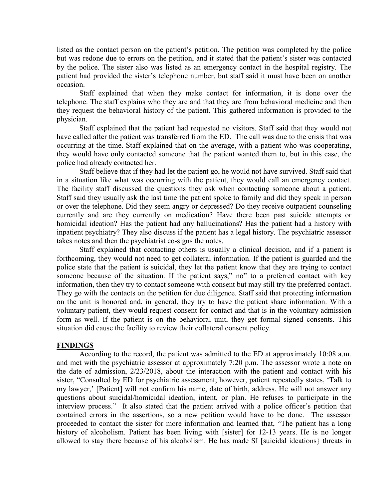listed as the contact person on the patient's petition. The petition was completed by the police but was redone due to errors on the petition, and it stated that the patient's sister was contacted by the police. The sister also was listed as an emergency contact in the hospital registry. The patient had provided the sister's telephone number, but staff said it must have been on another occasion.

 Staff explained that when they make contact for information, it is done over the telephone. The staff explains who they are and that they are from behavioral medicine and then they request the behavioral history of the patient. This gathered information is provided to the physician.

Staff explained that the patient had requested no visitors. Staff said that they would not have called after the patient was transferred from the ED. The call was due to the crisis that was occurring at the time. Staff explained that on the average, with a patient who was cooperating, they would have only contacted someone that the patient wanted them to, but in this case, the police had already contacted her.

 Staff believe that if they had let the patient go, he would not have survived. Staff said that in a situation like what was occurring with the patient, they would call an emergency contact. The facility staff discussed the questions they ask when contacting someone about a patient. Staff said they usually ask the last time the patient spoke to family and did they speak in person or over the telephone. Did they seem angry or depressed? Do they receive outpatient counseling currently and are they currently on medication? Have there been past suicide attempts or homicidal ideation? Has the patient had any hallucinations? Has the patient had a history with inpatient psychiatry? They also discuss if the patient has a legal history. The psychiatric assessor takes notes and then the psychiatrist co-signs the notes.

 Staff explained that contacting others is usually a clinical decision, and if a patient is forthcoming, they would not need to get collateral information. If the patient is guarded and the police state that the patient is suicidal, they let the patient know that they are trying to contact someone because of the situation. If the patient says," no" to a preferred contact with key information, then they try to contact someone with consent but may still try the preferred contact. They go with the contacts on the petition for due diligence. Staff said that protecting information on the unit is honored and, in general, they try to have the patient share information. With a voluntary patient, they would request consent for contact and that is in the voluntary admission form as well. If the patient is on the behavioral unit, they get formal signed consents. This situation did cause the facility to review their collateral consent policy.

# FINDINGS

According to the record, the patient was admitted to the ED at approximately 10:08 a.m. and met with the psychiatric assessor at approximately 7:20 p.m. The assessor wrote a note on the date of admission, 2/23/2018, about the interaction with the patient and contact with his sister, "Consulted by ED for psychiatric assessment; however, patient repeatedly states, 'Talk to my lawyer,' [Patient] will not confirm his name, date of birth, address. He will not answer any questions about suicidal/homicidal ideation, intent, or plan. He refuses to participate in the interview process." It also stated that the patient arrived with a police officer's petition that contained errors in the assertions, so a new petition would have to be done. The assessor proceeded to contact the sister for more information and learned that, "The patient has a long history of alcoholism. Patient has been living with [sister] for 12-13 years. He is no longer allowed to stay there because of his alcoholism. He has made SI [suicidal ideations} threats in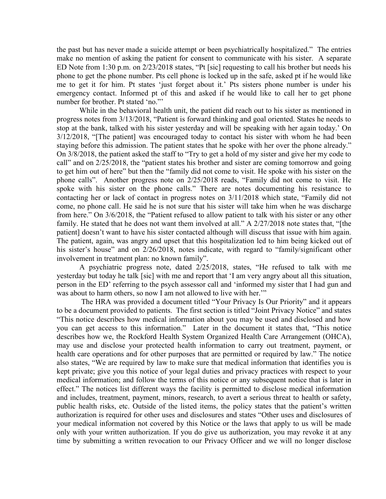the past but has never made a suicide attempt or been psychiatrically hospitalized." The entries make no mention of asking the patient for consent to communicate with his sister. A separate ED Note from 1:30 p.m. on 2/23/2018 states, "Pt [sic] requesting to call his brother but needs his phone to get the phone number. Pts cell phone is locked up in the safe, asked pt if he would like me to get it for him. Pt states 'just forget about it.' Pts sisters phone number is under his emergency contact. Informed pt of this and asked if he would like to call her to get phone number for brother. Pt stated 'no."'

While in the behavioral health unit, the patient did reach out to his sister as mentioned in progress notes from 3/13/2018, "Patient is forward thinking and goal oriented. States he needs to stop at the bank, talked with his sister yesterday and will be speaking with her again today.' On 3/12/2018, "[The patient] was encouraged today to contact his sister with whom he had been staying before this admission. The patient states that he spoke with her over the phone already." On 3/8/2018, the patient asked the staff to "Try to get a hold of my sister and give her my code to call" and on 2/25/2018, the "patient states his brother and sister are coming tomorrow and going to get him out of here" but then the "family did not come to visit. He spoke with his sister on the phone calls". Another progress note on 2/25/2018 reads, "Family did not come to visit. He spoke with his sister on the phone calls." There are notes documenting his resistance to contacting her or lack of contact in progress notes on 3/11/2018 which state, "Family did not come, no phone call. He said he is not sure that his sister will take him when he was discharge from here." On 3/6/2018, the "Patient refused to allow patient to talk with his sister or any other family. He stated that he does not want them involved at all." A 2/27/2018 note states that, "[the patient] doesn't want to have his sister contacted although will discuss that issue with him again. The patient, again, was angry and upset that this hospitalization led to him being kicked out of his sister's house" and on 2/26/2018, notes indicate, with regard to "family/significant other involvement in treatment plan: no known family".

A psychiatric progress note, dated 2/25/2018, states, "He refused to talk with me yesterday but today he talk [sic] with me and report that 'I am very angry about all this situation, person in the ED' referring to the psych assessor call and 'informed my sister that I had gun and was about to harm others, so now I am not allowed to live with her.'"

 The HRA was provided a document titled "Your Privacy Is Our Priority" and it appears to be a document provided to patients. The first section is titled "Joint Privacy Notice" and states "This notice describes how medical information about you may be used and disclosed and how you can get access to this information." Later in the document it states that, "This notice describes how we, the Rockford Health System Organized Health Care Arrangement (OHCA), may use and disclose your protected health information to carry out treatment, payment, or health care operations and for other purposes that are permitted or required by law." The notice also states, "We are required by law to make sure that medical information that identifies you is kept private; give you this notice of your legal duties and privacy practices with respect to your medical information; and follow the terms of this notice or any subsequent notice that is later in effect." The notices list different ways the facility is permitted to disclose medical information and includes, treatment, payment, minors, research, to avert a serious threat to health or safety, public health risks, etc. Outside of the listed items, the policy states that the patient's written authorization is required for other uses and disclosures and states "Other uses and disclosures of your medical information not covered by this Notice or the laws that apply to us will be made only with your written authorization. If you do give us authorization, you may revoke it at any time by submitting a written revocation to our Privacy Officer and we will no longer disclose